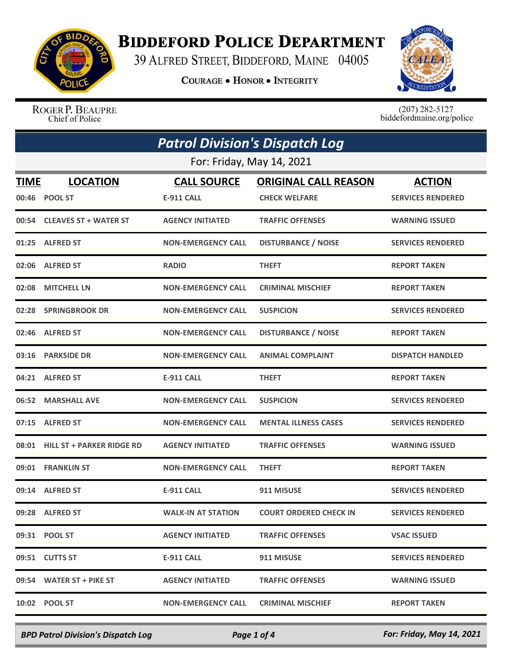

## **BIDDEFORD POLICE DEPARTMENT**

39 ALFRED STREET, BIDDEFORD, MAINE 04005

**COURAGE . HONOR . INTEGRITY** 



ROGER P. BEAUPRE<br>Chief of Police

 $(207)$  282-5127<br>biddefordmaine.org/police

| <b>Patrol Division's Dispatch Log</b> |                                  |                                         |                                                     |                                           |  |
|---------------------------------------|----------------------------------|-----------------------------------------|-----------------------------------------------------|-------------------------------------------|--|
|                                       | For: Friday, May 14, 2021        |                                         |                                                     |                                           |  |
| <u>TIME</u>                           | <b>LOCATION</b><br>00:46 POOL ST | <b>CALL SOURCE</b><br><b>E-911 CALL</b> | <b>ORIGINAL CALL REASON</b><br><b>CHECK WELFARE</b> | <b>ACTION</b><br><b>SERVICES RENDERED</b> |  |
|                                       | 00:54 CLEAVES ST + WATER ST      | <b>AGENCY INITIATED</b>                 | <b>TRAFFIC OFFENSES</b>                             | <b>WARNING ISSUED</b>                     |  |
|                                       | 01:25 ALFRED ST                  | <b>NON-EMERGENCY CALL</b>               | <b>DISTURBANCE / NOISE</b>                          | <b>SERVICES RENDERED</b>                  |  |
|                                       | 02:06 ALFRED ST                  | <b>RADIO</b>                            | <b>THEFT</b>                                        | <b>REPORT TAKEN</b>                       |  |
|                                       | 02:08 MITCHELL LN                | <b>NON-EMERGENCY CALL</b>               | <b>CRIMINAL MISCHIEF</b>                            | <b>REPORT TAKEN</b>                       |  |
|                                       | 02:28 SPRINGBROOK DR             | <b>NON-EMERGENCY CALL</b>               | <b>SUSPICION</b>                                    | <b>SERVICES RENDERED</b>                  |  |
|                                       | 02:46 ALFRED ST                  | <b>NON-EMERGENCY CALL</b>               | <b>DISTURBANCE / NOISE</b>                          | <b>REPORT TAKEN</b>                       |  |
|                                       | 03:16 PARKSIDE DR                | <b>NON-EMERGENCY CALL</b>               | <b>ANIMAL COMPLAINT</b>                             | <b>DISPATCH HANDLED</b>                   |  |
|                                       | 04:21 ALFRED ST                  | <b>E-911 CALL</b>                       | <b>THEFT</b>                                        | <b>REPORT TAKEN</b>                       |  |
|                                       | 06:52 MARSHALL AVE               | <b>NON-EMERGENCY CALL</b>               | <b>SUSPICION</b>                                    | <b>SERVICES RENDERED</b>                  |  |
|                                       | 07:15 ALFRED ST                  | <b>NON-EMERGENCY CALL</b>               | <b>MENTAL ILLNESS CASES</b>                         | <b>SERVICES RENDERED</b>                  |  |
|                                       | 08:01 HILL ST + PARKER RIDGE RD  | <b>AGENCY INITIATED</b>                 | <b>TRAFFIC OFFENSES</b>                             | <b>WARNING ISSUED</b>                     |  |
|                                       | 09:01 FRANKLIN ST                | <b>NON-EMERGENCY CALL</b>               | <b>THEFT</b>                                        | <b>REPORT TAKEN</b>                       |  |
|                                       | 09:14 ALFRED ST                  | <b>E-911 CALL</b>                       | 911 MISUSE                                          | <b>SERVICES RENDERED</b>                  |  |
|                                       | 09:28 ALFRED ST                  | <b>WALK-IN AT STATION</b>               | <b>COURT ORDERED CHECK IN</b>                       | <b>SERVICES RENDERED</b>                  |  |
|                                       | 09:31 POOL ST                    | <b>AGENCY INITIATED</b>                 | <b>TRAFFIC OFFENSES</b>                             | <b>VSAC ISSUED</b>                        |  |
|                                       | 09:51 CUTTS ST                   | <b>E-911 CALL</b>                       | 911 MISUSE                                          | <b>SERVICES RENDERED</b>                  |  |
|                                       | 09:54 WATER ST + PIKE ST         | <b>AGENCY INITIATED</b>                 | <b>TRAFFIC OFFENSES</b>                             | <b>WARNING ISSUED</b>                     |  |
|                                       | 10:02 POOL ST                    | <b>NON-EMERGENCY CALL</b>               | <b>CRIMINAL MISCHIEF</b>                            | <b>REPORT TAKEN</b>                       |  |

*BPD Patrol Division's Dispatch Log Page 1 of 4 For: Friday, May 14, 2021*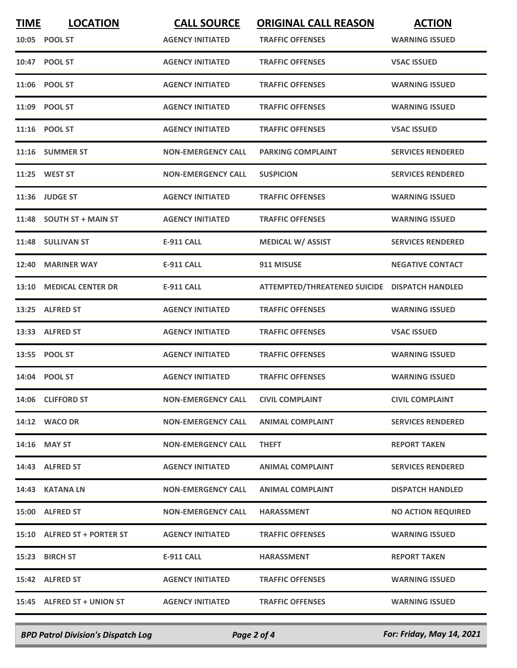| <b>TIME</b> | <b>LOCATION</b>             | <b>CALL SOURCE</b>        | <b>ORIGINAL CALL REASON</b>                   | <b>ACTION</b>             |
|-------------|-----------------------------|---------------------------|-----------------------------------------------|---------------------------|
|             | 10:05 POOL ST               | <b>AGENCY INITIATED</b>   | <b>TRAFFIC OFFENSES</b>                       | <b>WARNING ISSUED</b>     |
|             | 10:47 POOL ST               | <b>AGENCY INITIATED</b>   | <b>TRAFFIC OFFENSES</b>                       | <b>VSAC ISSUED</b>        |
|             | 11:06 POOL ST               | <b>AGENCY INITIATED</b>   | <b>TRAFFIC OFFENSES</b>                       | WARNING ISSUED            |
|             | 11:09 POOL ST               | <b>AGENCY INITIATED</b>   | <b>TRAFFIC OFFENSES</b>                       | <b>WARNING ISSUED</b>     |
|             | 11:16 POOL ST               | <b>AGENCY INITIATED</b>   | <b>TRAFFIC OFFENSES</b>                       | <b>VSAC ISSUED</b>        |
|             | 11:16 SUMMER ST             | <b>NON-EMERGENCY CALL</b> | <b>PARKING COMPLAINT</b>                      | <b>SERVICES RENDERED</b>  |
|             | 11:25 WEST ST               | <b>NON-EMERGENCY CALL</b> | <b>SUSPICION</b>                              | <b>SERVICES RENDERED</b>  |
|             | 11:36 JUDGE ST              | <b>AGENCY INITIATED</b>   | <b>TRAFFIC OFFENSES</b>                       | <b>WARNING ISSUED</b>     |
|             | 11:48 SOUTH ST + MAIN ST    | <b>AGENCY INITIATED</b>   | <b>TRAFFIC OFFENSES</b>                       | <b>WARNING ISSUED</b>     |
|             | 11:48 SULLIVAN ST           | <b>E-911 CALL</b>         | <b>MEDICAL W/ ASSIST</b>                      | <b>SERVICES RENDERED</b>  |
|             | 12:40 MARINER WAY           | <b>E-911 CALL</b>         | 911 MISUSE                                    | <b>NEGATIVE CONTACT</b>   |
| 13:10       | <b>MEDICAL CENTER DR</b>    | <b>E-911 CALL</b>         | ATTEMPTED/THREATENED SUICIDE DISPATCH HANDLED |                           |
| 13:25       | <b>ALFRED ST</b>            | <b>AGENCY INITIATED</b>   | <b>TRAFFIC OFFENSES</b>                       | <b>WARNING ISSUED</b>     |
|             | 13:33 ALFRED ST             | <b>AGENCY INITIATED</b>   | <b>TRAFFIC OFFENSES</b>                       | <b>VSAC ISSUED</b>        |
|             | 13:55 POOL ST               | <b>AGENCY INITIATED</b>   | <b>TRAFFIC OFFENSES</b>                       | <b>WARNING ISSUED</b>     |
|             | 14:04 POOL ST               | <b>AGENCY INITIATED</b>   | <b>TRAFFIC OFFENSES</b>                       | <b>WARNING ISSUED</b>     |
|             | 14:06 CLIFFORD ST           | <b>NON-EMERGENCY CALL</b> | <b>CIVIL COMPLAINT</b>                        | <b>CIVIL COMPLAINT</b>    |
|             | 14:12 WACO DR               | <b>NON-EMERGENCY CALL</b> | <b>ANIMAL COMPLAINT</b>                       | <b>SERVICES RENDERED</b>  |
|             | 14:16 MAY ST                | <b>NON-EMERGENCY CALL</b> | <b>THEFT</b>                                  | <b>REPORT TAKEN</b>       |
|             | 14:43 ALFRED ST             | <b>AGENCY INITIATED</b>   | <b>ANIMAL COMPLAINT</b>                       | <b>SERVICES RENDERED</b>  |
|             | 14:43 KATANA LN             | <b>NON-EMERGENCY CALL</b> | ANIMAL COMPLAINT                              | <b>DISPATCH HANDLED</b>   |
|             | 15:00 ALFRED ST             | <b>NON-EMERGENCY CALL</b> | <b>HARASSMENT</b>                             | <b>NO ACTION REQUIRED</b> |
|             | 15:10 ALFRED ST + PORTER ST | <b>AGENCY INITIATED</b>   | <b>TRAFFIC OFFENSES</b>                       | <b>WARNING ISSUED</b>     |
|             | 15:23 BIRCH ST              | E-911 CALL                | <b>HARASSMENT</b>                             | <b>REPORT TAKEN</b>       |
|             | 15:42 ALFRED ST             | <b>AGENCY INITIATED</b>   | <b>TRAFFIC OFFENSES</b>                       | <b>WARNING ISSUED</b>     |
|             | 15:45 ALFRED ST + UNION ST  | <b>AGENCY INITIATED</b>   | <b>TRAFFIC OFFENSES</b>                       | <b>WARNING ISSUED</b>     |

*BPD Patrol Division's Dispatch Log Page 2 of 4 For: Friday, May 14, 2021*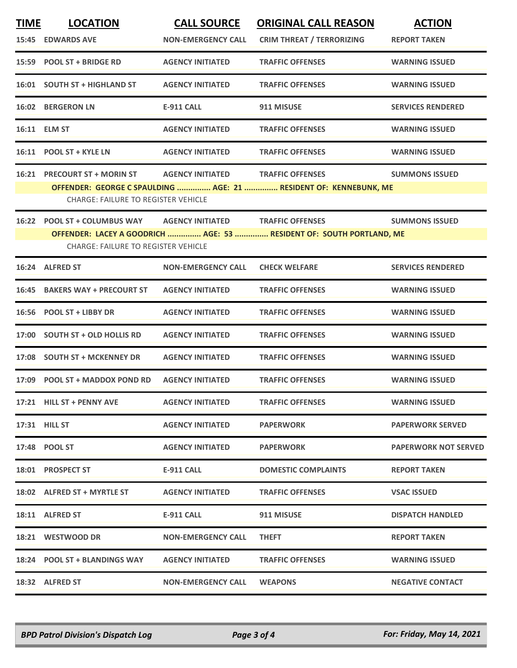| <b>TIME</b> | <b>LOCATION</b>                                                                                                    | <b>CALL SOURCE</b>        | <b>ORIGINAL CALL REASON</b>      | <b>ACTION</b>               |  |
|-------------|--------------------------------------------------------------------------------------------------------------------|---------------------------|----------------------------------|-----------------------------|--|
|             | <b>15:45 EDWARDS AVE</b>                                                                                           | <b>NON-EMERGENCY CALL</b> | <b>CRIM THREAT / TERRORIZING</b> | <b>REPORT TAKEN</b>         |  |
|             | 15:59 POOL ST + BRIDGE RD                                                                                          | <b>AGENCY INITIATED</b>   | <b>TRAFFIC OFFENSES</b>          | <b>WARNING ISSUED</b>       |  |
|             | 16:01 SOUTH ST + HIGHLAND ST                                                                                       | <b>AGENCY INITIATED</b>   | <b>TRAFFIC OFFENSES</b>          | <b>WARNING ISSUED</b>       |  |
|             | <b>16:02 BERGERON LN</b>                                                                                           | <b>E-911 CALL</b>         | 911 MISUSE                       | <b>SERVICES RENDERED</b>    |  |
|             | 16:11 ELM ST                                                                                                       | <b>AGENCY INITIATED</b>   | <b>TRAFFIC OFFENSES</b>          | <b>WARNING ISSUED</b>       |  |
|             | 16:11 POOL ST + KYLE LN                                                                                            | <b>AGENCY INITIATED</b>   | <b>TRAFFIC OFFENSES</b>          | <b>WARNING ISSUED</b>       |  |
|             | 16:21 PRECOURT ST + MORIN ST                                                                                       | <b>AGENCY INITIATED</b>   | <b>TRAFFIC OFFENSES</b>          | <b>SUMMONS ISSUED</b>       |  |
|             | OFFENDER: GEORGE C SPAULDING  AGE: 21  RESIDENT OF: KENNEBUNK, ME<br><b>CHARGE: FAILURE TO REGISTER VEHICLE</b>    |                           |                                  |                             |  |
| 16:22       | POOL ST + COLUMBUS WAY                                                                                             | <b>AGENCY INITIATED</b>   | <b>TRAFFIC OFFENSES</b>          | <b>SUMMONS ISSUED</b>       |  |
|             | OFFENDER: LACEY A GOODRICH  AGE: 53  RESIDENT OF: SOUTH PORTLAND, ME<br><b>CHARGE: FAILURE TO REGISTER VEHICLE</b> |                           |                                  |                             |  |
|             |                                                                                                                    |                           |                                  |                             |  |
|             | 16:24 ALFRED ST                                                                                                    | <b>NON-EMERGENCY CALL</b> | <b>CHECK WELFARE</b>             | <b>SERVICES RENDERED</b>    |  |
| 16:45       | <b>BAKERS WAY + PRECOURT ST</b>                                                                                    | <b>AGENCY INITIATED</b>   | <b>TRAFFIC OFFENSES</b>          | <b>WARNING ISSUED</b>       |  |
|             | 16:56 POOL ST + LIBBY DR                                                                                           | <b>AGENCY INITIATED</b>   | <b>TRAFFIC OFFENSES</b>          | <b>WARNING ISSUED</b>       |  |
| 17:00       | <b>SOUTH ST + OLD HOLLIS RD</b>                                                                                    | <b>AGENCY INITIATED</b>   | <b>TRAFFIC OFFENSES</b>          | <b>WARNING ISSUED</b>       |  |
| 17:08       | <b>SOUTH ST + MCKENNEY DR</b>                                                                                      | <b>AGENCY INITIATED</b>   | <b>TRAFFIC OFFENSES</b>          | <b>WARNING ISSUED</b>       |  |
| 17:09       | <b>POOL ST + MADDOX POND RD</b>                                                                                    | <b>AGENCY INITIATED</b>   | <b>TRAFFIC OFFENSES</b>          | <b>WARNING ISSUED</b>       |  |
|             | 17:21 HILL ST + PENNY AVE                                                                                          | <b>AGENCY INITIATED</b>   | <b>TRAFFIC OFFENSES</b>          | <b>WARNING ISSUED</b>       |  |
|             | 17:31 HILL ST                                                                                                      | <b>AGENCY INITIATED</b>   | <b>PAPERWORK</b>                 | <b>PAPERWORK SERVED</b>     |  |
|             | 17:48 POOL ST                                                                                                      | <b>AGENCY INITIATED</b>   | <b>PAPERWORK</b>                 | <b>PAPERWORK NOT SERVED</b> |  |
|             | 18:01 PROSPECT ST                                                                                                  | E-911 CALL                | <b>DOMESTIC COMPLAINTS</b>       | <b>REPORT TAKEN</b>         |  |
|             | 18:02 ALFRED ST + MYRTLE ST                                                                                        | <b>AGENCY INITIATED</b>   | <b>TRAFFIC OFFENSES</b>          | <b>VSAC ISSUED</b>          |  |
|             | 18:11 ALFRED ST                                                                                                    | E-911 CALL                | 911 MISUSE                       | <b>DISPATCH HANDLED</b>     |  |
|             | 18:21 WESTWOOD DR                                                                                                  | <b>NON-EMERGENCY CALL</b> | <b>THEFT</b>                     | <b>REPORT TAKEN</b>         |  |
|             | 18:24 POOL ST + BLANDINGS WAY                                                                                      | <b>AGENCY INITIATED</b>   | <b>TRAFFIC OFFENSES</b>          | <b>WARNING ISSUED</b>       |  |
|             | 18:32 ALFRED ST                                                                                                    | NON-EMERGENCY CALL        | <b>WEAPONS</b>                   | <b>NEGATIVE CONTACT</b>     |  |